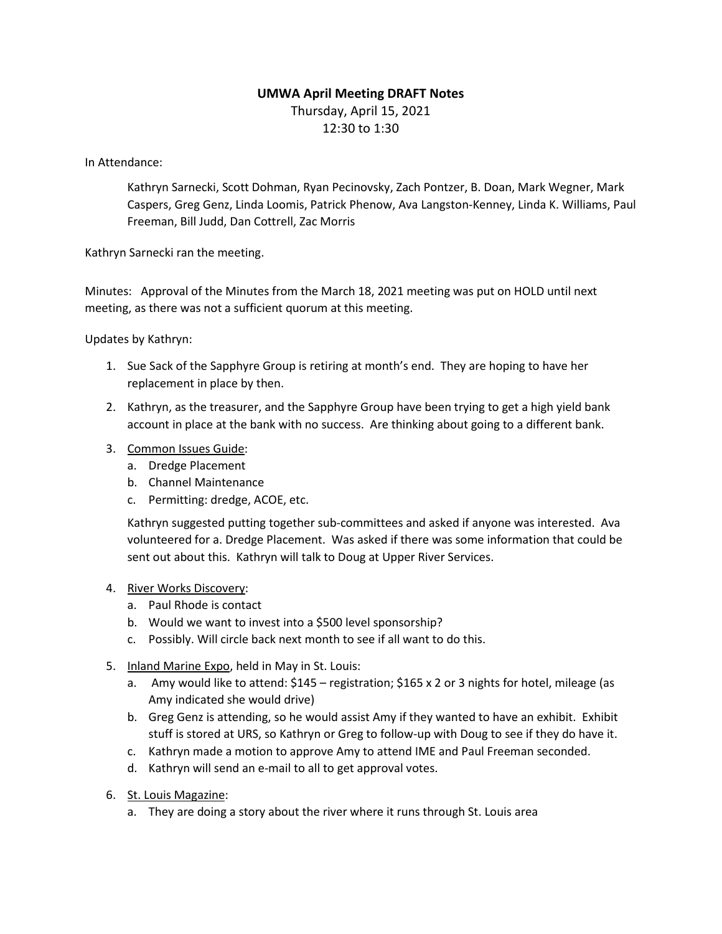## **UMWA April Meeting DRAFT Notes**

Thursday, April 15, 2021 12:30 to 1:30

In Attendance:

Kathryn Sarnecki, Scott Dohman, Ryan Pecinovsky, Zach Pontzer, B. Doan, Mark Wegner, Mark Caspers, Greg Genz, Linda Loomis, Patrick Phenow, Ava Langston-Kenney, Linda K. Williams, Paul Freeman, Bill Judd, Dan Cottrell, Zac Morris

Kathryn Sarnecki ran the meeting.

Minutes: Approval of the Minutes from the March 18, 2021 meeting was put on HOLD until next meeting, as there was not a sufficient quorum at this meeting.

Updates by Kathryn:

- 1. Sue Sack of the Sapphyre Group is retiring at month's end. They are hoping to have her replacement in place by then.
- 2. Kathryn, as the treasurer, and the Sapphyre Group have been trying to get a high yield bank account in place at the bank with no success. Are thinking about going to a different bank.
- 3. Common Issues Guide:
	- a. Dredge Placement
	- b. Channel Maintenance
	- c. Permitting: dredge, ACOE, etc.

Kathryn suggested putting together sub-committees and asked if anyone was interested. Ava volunteered for a. Dredge Placement. Was asked if there was some information that could be sent out about this. Kathryn will talk to Doug at Upper River Services.

- 4. River Works Discovery:
	- a. Paul Rhode is contact
	- b. Would we want to invest into a \$500 level sponsorship?
	- c. Possibly. Will circle back next month to see if all want to do this.
- 5. Inland Marine Expo, held in May in St. Louis:
	- a. Amy would like to attend: \$145 registration; \$165 x 2 or 3 nights for hotel, mileage (as Amy indicated she would drive)
	- b. Greg Genz is attending, so he would assist Amy if they wanted to have an exhibit. Exhibit stuff is stored at URS, so Kathryn or Greg to follow-up with Doug to see if they do have it.
	- c. Kathryn made a motion to approve Amy to attend IME and Paul Freeman seconded.
	- d. Kathryn will send an e-mail to all to get approval votes.
- 6. St. Louis Magazine:
	- a. They are doing a story about the river where it runs through St. Louis area